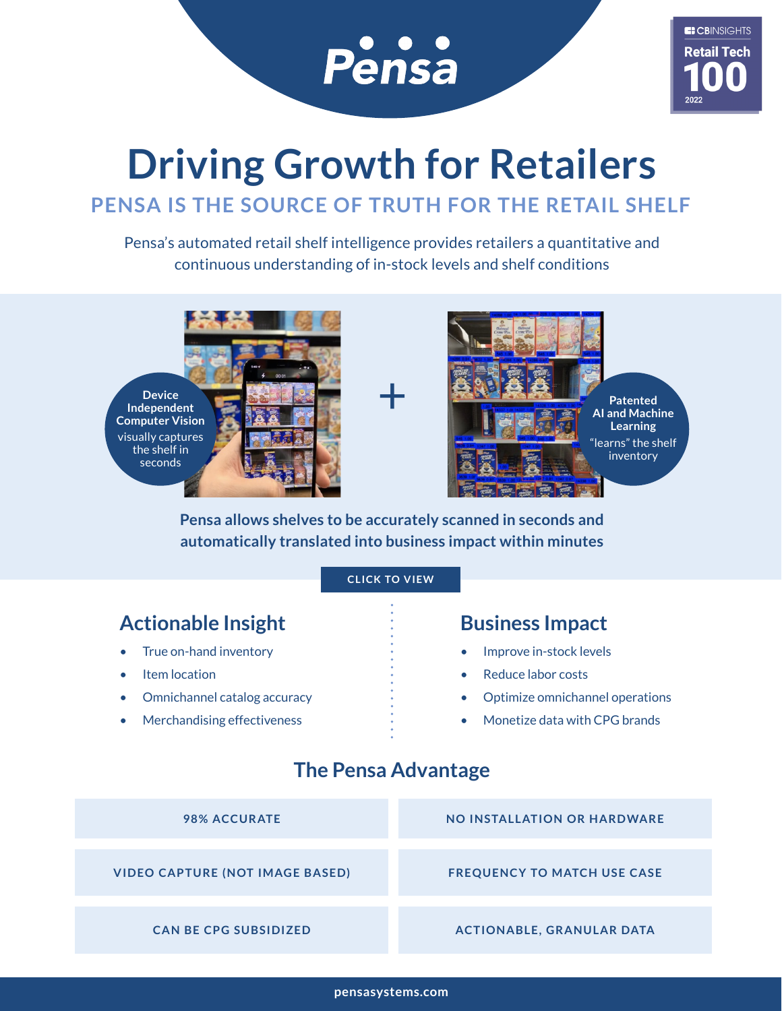

# **Driving Growth for Retailers**

## **PENSA IS THE SOURCE OF TRUTH FOR THE RETAIL SHELF**

Pensa's automated retail shelf intelligence provides retailers a quantitative and continuous understanding of in-stock levels and shelf conditions





**Pensa allows shelves to be accurately scanned in seconds and automatically translated into business impact within minutes**

#### **[CLICK TO VIEW](https://www.pensasystems.com/technology/#rapid_scan)**

### Actionable Insight **Business Impact**

- True on-hand inventory
- **Item location**
- Omnichannel catalog accuracy
- Merchandising effectiveness

- Improve in-stock levels
- Reduce labor costs
- Optimize omnichannel operations
- Monetize data with CPG brands

### **The Pensa Advantage**

| <b>98% ACCURATE</b>                    | <b>NO INSTALLATION OR HARDWARE</b> |
|----------------------------------------|------------------------------------|
|                                        |                                    |
| <b>VIDEO CAPTURE (NOT IMAGE BASED)</b> | <b>FREQUENCY TO MATCH USE CASE</b> |
|                                        |                                    |
| <b>CAN BE CPG SUBSIDIZED</b>           | <b>ACTIONABLE, GRANULAR DATA</b>   |

**[pensasystems.com](http://www.pensasystems.com)**